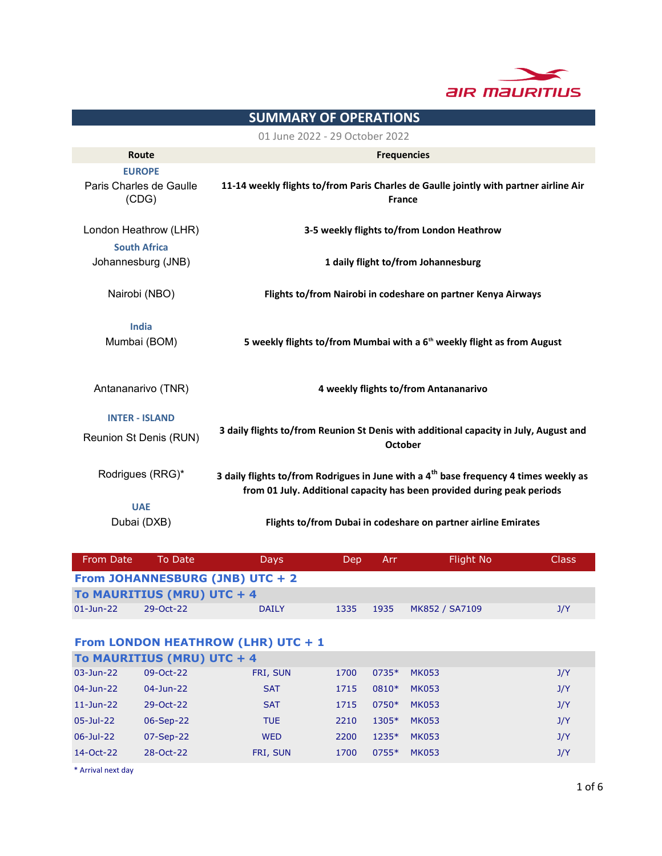

# 3 daily flights to/from Reunion St Denis with additional capacity in July, August and **October** Rodrigues (RRG)\* UAE Dubai (DXB) Flights to/from Dubai in codeshare on partner airline Emirates SUMMARY OF OPERATIONS 01 June 2022 - 29 October 2022 Route Frequencies EUROPE Paris Charles de Gaulle (CDG) 11-14 weekly flights to/from Paris Charles de Gaulle jointly with partner airline Air France London Heathrow (LHR) 3-5 weekly flights to/from London Heathrow South Africa Johannesburg (JNB) 1 daily flight to/from Johannesburg Nairobi (NBO) 3 daily flights to/from Rodrigues in June with a  $4<sup>th</sup>$  base frequency 4 times weekly as from 01 July. Additional capacity has been provided during peak periods Flights to/from Nairobi in codeshare on partner Kenya Airways India Mumbai (BOM) 5 weekly flights to/from Mumbai with a  $6<sup>th</sup>$  weekly flight as from August Antananarivo (TNR) 2012 11 March 2014 12 March 2015 12 March 2015 12 March 2015 12 March 2016 12 March 2015 12 INTER - ISLAND Reunion St Denis (RUN)

| From Date                        | To Date                    | <b>Davs</b>  | Dep. | 'Arr. | Flight No      | <b>Class</b> |  |  |
|----------------------------------|----------------------------|--------------|------|-------|----------------|--------------|--|--|
| From JOHANNESBURG (JNB) UTC $+2$ |                            |              |      |       |                |              |  |  |
|                                  | To MAURITIUS (MRU) UTC + 4 |              |      |       |                |              |  |  |
| $01$ -Jun-22                     | 29-Oct-22                  | <b>DAILY</b> | 1335 | 1935  | MK852 / SA7109 | J/Y          |  |  |

#### From LONDON HEATHROW (LHR) UTC + 1 T. MAURITIUS (MRU) UTC +

|               | <b>TO MAURITIUS (MRU) UTC + 4</b> |            |      |         |              |     |
|---------------|-----------------------------------|------------|------|---------|--------------|-----|
| 03-Jun-22     | $09-Oct-22$                       | FRI, SUN   | 1700 | $0735*$ | MK053        | J/Y |
| 04-Jun-22     | $04 - Jun - 22$                   | <b>SAT</b> | 1715 | 0810*   | MK053        | J/Y |
| $11 - Jun-22$ | 29-Oct-22                         | <b>SAT</b> | 1715 | $0750*$ | MK053        | J/Y |
| 05-Jul-22     | 06-Sep-22                         | <b>TUE</b> | 2210 | 1305*   | <b>MK053</b> | J/Y |
| 06-Jul-22     | $07-Sep-22$                       | <b>WED</b> | 2200 | $1235*$ | <b>MK053</b> | J/Y |
| 14-Oct-22     | 28-Oct-22                         | FRI, SUN   | 1700 | 0755*   | <b>MK053</b> | J/Y |

\* Arrival next day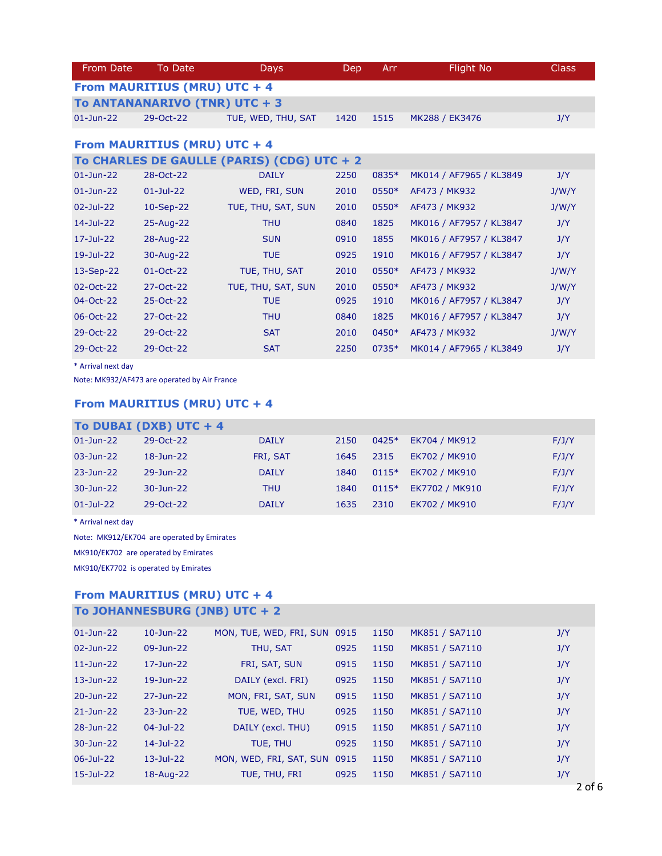| From Date                    | To Date                       | <b>Days</b>                                | Dep  | Arr:    | <b>Flight No</b>        | <b>Class</b> |  |  |  |
|------------------------------|-------------------------------|--------------------------------------------|------|---------|-------------------------|--------------|--|--|--|
| From MAURITIUS (MRU) UTC + 4 |                               |                                            |      |         |                         |              |  |  |  |
|                              | To ANTANANARIVO (TNR) UTC + 3 |                                            |      |         |                         |              |  |  |  |
| $01$ -Jun-22                 | 29-Oct-22                     | TUE, WED, THU, SAT                         | 1420 | 1515    | MK288 / EK3476          | J/Y          |  |  |  |
|                              | From MAURITIUS (MRU) UTC + 4  |                                            |      |         |                         |              |  |  |  |
|                              |                               | To CHARLES DE GAULLE (PARIS) (CDG) UTC + 2 |      |         |                         |              |  |  |  |
| $01$ -Jun-22                 | 28-Oct-22                     | <b>DAILY</b>                               | 2250 | 0835*   | MK014 / AF7965 / KL3849 | J/Y          |  |  |  |
| $01 - Jun - 22$              | $01 -$ Jul-22                 | WED, FRI, SUN                              | 2010 | $0550*$ | AF473 / MK932           | J/W/Y        |  |  |  |

| $02 - Jul - 22$ | 10-Sep-22       | TUE, THU, SAT, SUN | 2010 | $0550*$ | AF473 / MK932           | J/W/Y |
|-----------------|-----------------|--------------------|------|---------|-------------------------|-------|
| 14-Jul-22       | 25-Aug-22       | <b>THU</b>         | 0840 | 1825    | MK016 / AF7957 / KL3847 | J/Y   |
| 17-Jul-22       | 28-Aug-22       | <b>SUN</b>         | 0910 | 1855    | MK016 / AF7957 / KL3847 | J/Y   |
| 19-Jul-22       | 30-Aug-22       | <b>TUE</b>         | 0925 | 1910    | MK016 / AF7957 / KL3847 | J/Y   |
| $13-Sep-22$     | $01 - Oct - 22$ | TUE, THU, SAT      | 2010 | 0550*   | AF473 / MK932           | J/W/Y |
| $02 - Oct - 22$ | 27-Oct-22       | TUE, THU, SAT, SUN | 2010 | 0550*   | AF473 / MK932           | J/W/Y |
| $04-Oct-22$     | 25-Oct-22       | <b>TUE</b>         | 0925 | 1910    | MK016 / AF7957 / KL3847 | J/Y   |
| 06-Oct-22       | 27-Oct-22       | <b>THU</b>         | 0840 | 1825    | MK016 / AF7957 / KL3847 | J/Y   |
| 29-Oct-22       | 29-Oct-22       | <b>SAT</b>         | 2010 | 0450*   | AF473 / MK932           | J/W/Y |
| 29-Oct-22       | 29-Oct-22       | <b>SAT</b>         | 2250 | 0735*   | MK014 / AF7965 / KL3849 | J/Y   |

\* Arrival next day

Note: MK932/AF473 are operated by Air France

# From MAURITIUS (MRU) UTC + 4

### To DUBAI (DXB) UTC + 4

| $01 - Jun - 22$ | 29-Oct-22    | <b>DAILY</b> | 2150 | $0425*$ | EK704 / MK912  | F/J/Y |
|-----------------|--------------|--------------|------|---------|----------------|-------|
|                 |              |              |      |         |                |       |
| 03-Jun-22       | $18$ -Jun-22 | FRI, SAT     | 1645 | 2315    | EK702 / MK910  | F/J/Y |
|                 |              |              |      |         |                |       |
| 23-Jun-22       | 29-Jun-22    | <b>DAILY</b> | 1840 | $0115*$ | EK702 / MK910  | F/J/Y |
|                 |              |              |      |         |                |       |
| 30-Jun-22       | 30-Jun-22    | <b>THU</b>   | 1840 | $0115*$ | EK7702 / MK910 | F/J/Y |
|                 |              |              |      |         |                |       |
| $01 - Jul - 22$ | 29-Oct-22    | <b>DAILY</b> | 1635 | 2310    | EK702 / MK910  | F/J/Y |
|                 |              |              |      |         |                |       |

\* Arrival next day

Note: MK912/EK704 are operated by Emirates

MK910/EK702 are operated by Emirates

MK910/EK7702 is operated by Emirates

## From MAURITIUS (MRU) UTC + 4

# To JOHANNESBURG (JNB) UTC + 2

| $01$ -Jun-22    | $10$ -Jun-22    | MON, TUE, WED, FRI, SUN 0915 |      | 1150 | MK851 / SA7110 | J/Y |
|-----------------|-----------------|------------------------------|------|------|----------------|-----|
| $02 - Jun - 22$ | 09-Jun-22       | THU, SAT                     | 0925 | 1150 | MK851 / SA7110 | J/Y |
| $11 - Jun-22$   | $17 - Jun - 22$ | FRI, SAT, SUN                | 0915 | 1150 | MK851 / SA7110 | J/Y |
| 13-Jun-22       | $19$ -Jun-22    | DAILY (excl. FRI)            | 0925 | 1150 | MK851 / SA7110 | J/Y |
| 20-Jun-22       | 27-Jun-22       | MON, FRI, SAT, SUN           | 0915 | 1150 | MK851 / SA7110 | J/Y |
| 21-Jun-22       | $23 - Jun - 22$ | TUE, WED, THU                | 0925 | 1150 | MK851 / SA7110 | J/Y |
| 28-Jun-22       | 04-Jul-22       | DAILY (excl. THU)            | 0915 | 1150 | MK851 / SA7110 | J/Y |
| $30 - Jun - 22$ | 14-Jul-22       | TUE, THU                     | 0925 | 1150 | MK851 / SA7110 | J/Y |
| 06-Jul-22       | $13$ -Jul-22    | MON, WED, FRI, SAT, SUN      | 0915 | 1150 | MK851 / SA7110 | J/Y |
| 15-Jul-22       | 18-Aug-22       | TUE, THU, FRI                | 0925 | 1150 | MK851 / SA7110 | J/Y |
|                 |                 |                              |      |      |                |     |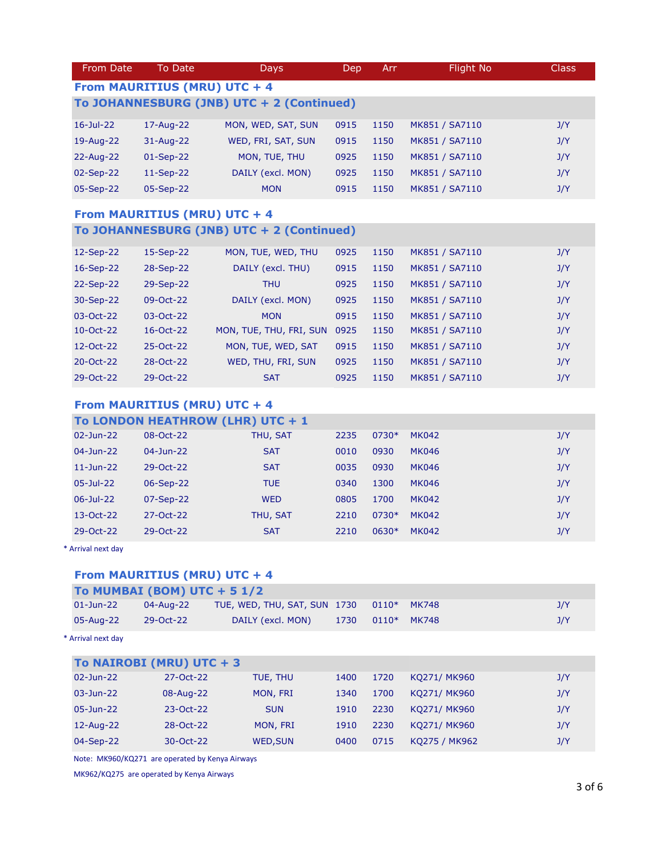| From Date                                 | To Date         | <b>Days</b>        | Dep. | <b>Arr</b> | Flight No      | <b>Class</b> |  |  |  |
|-------------------------------------------|-----------------|--------------------|------|------------|----------------|--------------|--|--|--|
| From MAURITIUS (MRU) UTC + 4              |                 |                    |      |            |                |              |  |  |  |
| To JOHANNESBURG (JNB) UTC + 2 (Continued) |                 |                    |      |            |                |              |  |  |  |
| $16 - Jul - 22$                           | 17-Aug-22       | MON, WED, SAT, SUN | 0915 | 1150       | MK851 / SA7110 | J/Y          |  |  |  |
| 19-Aug-22                                 | $31 - Aug - 22$ | WED, FRI, SAT, SUN | 0915 | 1150       | MK851 / SA7110 | J/Y          |  |  |  |
| 22-Aug-22                                 | $01-Sep-22$     | MON, TUE, THU      | 0925 | 1150       | MK851 / SA7110 | J/Y          |  |  |  |
| 02-Sep-22                                 | $11-Sep-22$     | DAILY (excl. MON)  | 0925 | 1150       | MK851 / SA7110 | J/Y          |  |  |  |
| 05-Sep-22                                 | 05-Sep-22       | <b>MON</b>         | 0915 | 1150       | MK851 / SA7110 | J/Y          |  |  |  |
|                                           |                 |                    |      |            |                |              |  |  |  |

## From MAURITIUS (MRU) UTC + 4 To JOHANNESBURG (JNB) UTC + 2 (Continued)

| 12-Sep-22     | 15-Sep-22       | MON, TUE, WED, THU      | 0925 | 1150 | MK851 / SA7110 | J/Y |
|---------------|-----------------|-------------------------|------|------|----------------|-----|
| $16-Sep-22$   | 28-Sep-22       | DAILY (excl. THU)       | 0915 | 1150 | MK851 / SA7110 | J/Y |
| 22-Sep-22     | 29-Sep-22       | <b>THU</b>              | 0925 | 1150 | MK851 / SA7110 | J/Y |
| 30-Sep-22     | $09-Oct-22$     | DAILY (excl. MON)       | 0925 | 1150 | MK851 / SA7110 | J/Y |
| 03-Oct-22     | $03-Oct-22$     | <b>MON</b>              | 0915 | 1150 | MK851 / SA7110 | J/Y |
| 10-Oct-22     | $16 - Oct - 22$ | MON, TUE, THU, FRI, SUN | 0925 | 1150 | MK851 / SA7110 | J/Y |
| 12-Oct-22     | $25-Oct-22$     | MON, TUE, WED, SAT      | 0915 | 1150 | MK851 / SA7110 | J/Y |
| $20 - Oct-22$ | 28-Oct-22       | WED, THU, FRI, SUN      | 0925 | 1150 | MK851 / SA7110 | J/Y |
| 29-Oct-22     | 29-Oct-22       | <b>SAT</b>              | 0925 | 1150 | MK851 / SA7110 | J/Y |

#### From MAURITIUS (MRU) UTC + 4

|                 | To LONDON HEATHROW (LHR) UTC + 1 |            |      |         |              |     |
|-----------------|----------------------------------|------------|------|---------|--------------|-----|
| 02-Jun-22       | 08-Oct-22                        | THU, SAT   | 2235 | $0730*$ | <b>MK042</b> | J/Y |
| $04 - Jun - 22$ | $04 - Jun - 22$                  | <b>SAT</b> | 0010 | 0930    | <b>MK046</b> | J/Y |
| $11 - Jun-22$   | 29-Oct-22                        | <b>SAT</b> | 0035 | 0930    | <b>MK046</b> | J/Y |
| $05 -$ Jul-22   | 06-Sep-22                        | <b>TUE</b> | 0340 | 1300    | <b>MK046</b> | J/Y |
| $06 - Jul - 22$ | 07-Sep-22                        | <b>WED</b> | 0805 | 1700    | <b>MK042</b> | J/Y |
| 13-Oct-22       | $27 - Oct - 22$                  | THU, SAT   | 2210 | 0730*   | <b>MK042</b> | J/Y |
| 29-Oct-22       | 29-Oct-22                        | <b>SAT</b> | 2210 | $0630*$ | <b>MK042</b> | J/Y |

\* Arrival next day

# From MAURITIUS (MRU) UTC + 4

| 04-Aug-22                                                                                                                |                   |                                                          | $0110*$                      | <b>MK748</b> | J/Y |
|--------------------------------------------------------------------------------------------------------------------------|-------------------|----------------------------------------------------------|------------------------------|--------------|-----|
| 29-Oct-22                                                                                                                | DAILY (excl. MON) | 1730                                                     | $0110*$                      | <b>MK748</b> | J/Y |
|                                                                                                                          |                   |                                                          |                              |              |     |
|                                                                                                                          |                   |                                                          |                              |              |     |
| 27-Oct-22                                                                                                                | TUE, THU          | 1400                                                     | 1720                         | KO271/ MK960 | J/Y |
| 08-Aug-22                                                                                                                | MON, FRI          | 1340                                                     | 1700                         | KQ271/ MK960 | J/Y |
| 23-Oct-22                                                                                                                | <b>SUN</b>        | 1910                                                     | 2230                         | KQ271/ MK960 | J/Y |
| 28-Oct-22                                                                                                                | MON, FRI          | 1910                                                     | 2230                         | KQ271/ MK960 | J/Y |
| $01 - Jun - 22$<br>05-Aug-22<br>* Arrival next day<br>$02 - Jun - 22$<br>$03 - Jun - 22$<br>$05 - Jun - 22$<br>12-Aug-22 |                   | To MUMBAI (BOM) UTC + $51/2$<br>To NAIROBI (MRU) UTC + 3 | TUE, WED, THU, SAT, SUN 1730 |              |     |

04-Sep-22 30-Oct-22 WED,SUN 0400 0715 KQ275 / MK962 3/Y

Note: MK960/KQ271 are operated by Kenya Airways

MK962/KQ275 are operated by Kenya Airways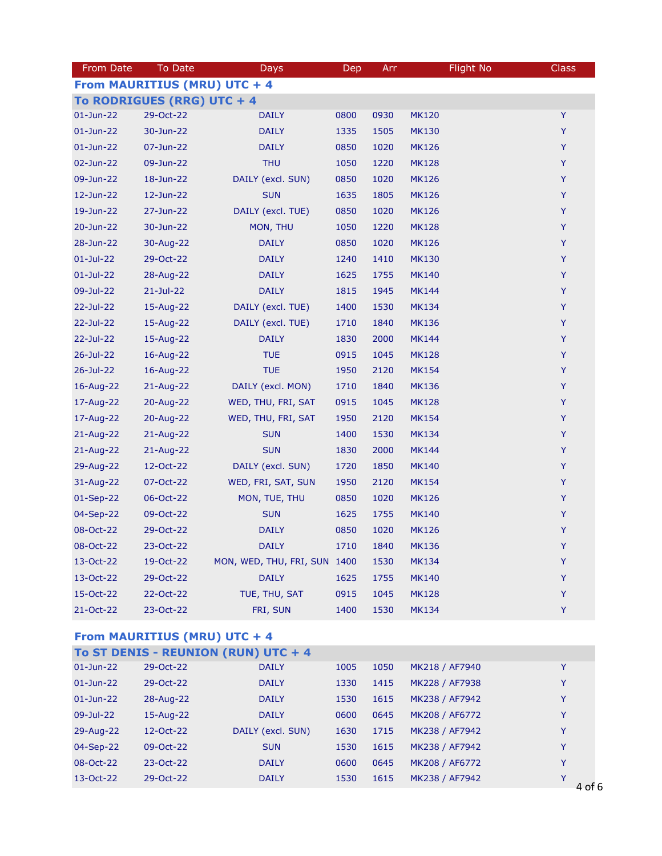| From Date                    | To Date       | Days                         | Dep  | Arr  | <b>Flight No</b> | Class |  |  |  |
|------------------------------|---------------|------------------------------|------|------|------------------|-------|--|--|--|
| From MAURITIUS (MRU) UTC + 4 |               |                              |      |      |                  |       |  |  |  |
| To RODRIGUES (RRG) UTC + 4   |               |                              |      |      |                  |       |  |  |  |
| $01$ -Jun-22                 | 29-Oct-22     | <b>DAILY</b>                 | 0800 | 0930 | <b>MK120</b>     | Y     |  |  |  |
| $01$ -Jun-22                 | 30-Jun-22     | <b>DAILY</b>                 | 1335 | 1505 | <b>MK130</b>     | Y     |  |  |  |
| $01$ -Jun-22                 | 07-Jun-22     | <b>DAILY</b>                 | 0850 | 1020 | <b>MK126</b>     | Y     |  |  |  |
| 02-Jun-22                    | 09-Jun-22     | <b>THU</b>                   | 1050 | 1220 | <b>MK128</b>     | Y     |  |  |  |
| 09-Jun-22                    | 18-Jun-22     | DAILY (excl. SUN)            | 0850 | 1020 | <b>MK126</b>     | Y     |  |  |  |
| 12-Jun-22                    | 12-Jun-22     | <b>SUN</b>                   | 1635 | 1805 | <b>MK126</b>     | Y     |  |  |  |
| 19-Jun-22                    | 27-Jun-22     | DAILY (excl. TUE)            | 0850 | 1020 | <b>MK126</b>     | Y     |  |  |  |
| 20-Jun-22                    | 30-Jun-22     | MON, THU                     | 1050 | 1220 | <b>MK128</b>     | Y     |  |  |  |
| 28-Jun-22                    | 30-Aug-22     | <b>DAILY</b>                 | 0850 | 1020 | <b>MK126</b>     | Υ     |  |  |  |
| $01$ -Jul-22                 | 29-Oct-22     | <b>DAILY</b>                 | 1240 | 1410 | <b>MK130</b>     | Y     |  |  |  |
| $01$ -Jul-22                 | 28-Aug-22     | <b>DAILY</b>                 | 1625 | 1755 | <b>MK140</b>     | Y     |  |  |  |
| 09-Jul-22                    | $21 -$ Jul-22 | <b>DAILY</b>                 | 1815 | 1945 | <b>MK144</b>     | Y     |  |  |  |
| 22-Jul-22                    | 15-Aug-22     | DAILY (excl. TUE)            | 1400 | 1530 | <b>MK134</b>     | Y     |  |  |  |
| 22-Jul-22                    | 15-Aug-22     | DAILY (excl. TUE)            | 1710 | 1840 | <b>MK136</b>     | Y     |  |  |  |
| 22-Jul-22                    | 15-Aug-22     | <b>DAILY</b>                 | 1830 | 2000 | <b>MK144</b>     | Y     |  |  |  |
| 26-Jul-22                    | 16-Aug-22     | <b>TUE</b>                   | 0915 | 1045 | <b>MK128</b>     | Y     |  |  |  |
| 26-Jul-22                    | 16-Aug-22     | <b>TUE</b>                   | 1950 | 2120 | <b>MK154</b>     | Y     |  |  |  |
| 16-Aug-22                    | 21-Aug-22     | DAILY (excl. MON)            | 1710 | 1840 | <b>MK136</b>     | Y     |  |  |  |
| 17-Aug-22                    | 20-Aug-22     | WED, THU, FRI, SAT           | 0915 | 1045 | <b>MK128</b>     | Y     |  |  |  |
| 17-Aug-22                    | 20-Aug-22     | WED, THU, FRI, SAT           | 1950 | 2120 | <b>MK154</b>     | Y     |  |  |  |
| 21-Aug-22                    | 21-Aug-22     | <b>SUN</b>                   | 1400 | 1530 | <b>MK134</b>     | Y     |  |  |  |
| 21-Aug-22                    | 21-Aug-22     | <b>SUN</b>                   | 1830 | 2000 | <b>MK144</b>     | Y     |  |  |  |
| 29-Aug-22                    | 12-Oct-22     | DAILY (excl. SUN)            | 1720 | 1850 | <b>MK140</b>     | Y     |  |  |  |
| 31-Aug-22                    | 07-Oct-22     | WED, FRI, SAT, SUN           | 1950 | 2120 | <b>MK154</b>     | Y     |  |  |  |
| 01-Sep-22                    | 06-Oct-22     | MON, TUE, THU                | 0850 | 1020 | <b>MK126</b>     | Y     |  |  |  |
| 04-Sep-22                    | 09-Oct-22     | <b>SUN</b>                   | 1625 | 1755 | <b>MK140</b>     | Y     |  |  |  |
| 08-Oct-22                    | 29-Oct-22     | <b>DAILY</b>                 | 0850 | 1020 | <b>MK126</b>     | Y     |  |  |  |
| 08-Oct-22                    | 23-Oct-22     | <b>DAILY</b>                 | 1710 | 1840 | <b>MK136</b>     | Y     |  |  |  |
| 13-Oct-22                    | 19-Oct-22     | MON, WED, THU, FRI, SUN 1400 |      | 1530 | <b>MK134</b>     | Y     |  |  |  |
| 13-Oct-22                    | 29-Oct-22     | <b>DAILY</b>                 | 1625 | 1755 | <b>MK140</b>     | Y     |  |  |  |
| 15-Oct-22                    | 22-Oct-22     | TUE, THU, SAT                | 0915 | 1045 | <b>MK128</b>     | Y     |  |  |  |
| 21-Oct-22                    | 23-Oct-22     | FRI, SUN                     | 1400 | 1530 | <b>MK134</b>     | Y     |  |  |  |

### From MAURITIUS (MRU) UTC + 4

| To ST DENIS - REUNION (RUN) UTC + 4 |           |                   |      |      |                |                  |  |  |  |
|-------------------------------------|-----------|-------------------|------|------|----------------|------------------|--|--|--|
| $01$ -Jun-22                        | 29-Oct-22 | <b>DAILY</b>      | 1005 | 1050 | MK218 / AF7940 | Y                |  |  |  |
| $01 - Jun - 22$                     | 29-Oct-22 | <b>DAILY</b>      | 1330 | 1415 | MK228 / AF7938 | Υ                |  |  |  |
| $01 - Jun - 22$                     | 28-Aug-22 | <b>DAILY</b>      | 1530 | 1615 | MK238 / AF7942 | Y                |  |  |  |
| 09-Jul-22                           | 15-Aug-22 | <b>DAILY</b>      | 0600 | 0645 | MK208 / AF6772 | Y                |  |  |  |
| 29-Aug-22                           | 12-Oct-22 | DAILY (excl. SUN) | 1630 | 1715 | MK238 / AF7942 | Y                |  |  |  |
| 04-Sep-22                           | 09-Oct-22 | <b>SUN</b>        | 1530 | 1615 | MK238 / AF7942 | Y                |  |  |  |
| 08-Oct-22                           | 23-Oct-22 | <b>DAILY</b>      | 0600 | 0645 | MK208 / AF6772 | Y                |  |  |  |
| 13-Oct-22                           | 29-Oct-22 | <b>DAILY</b>      | 1530 | 1615 | MK238 / AF7942 | v<br>$\Delta$ of |  |  |  |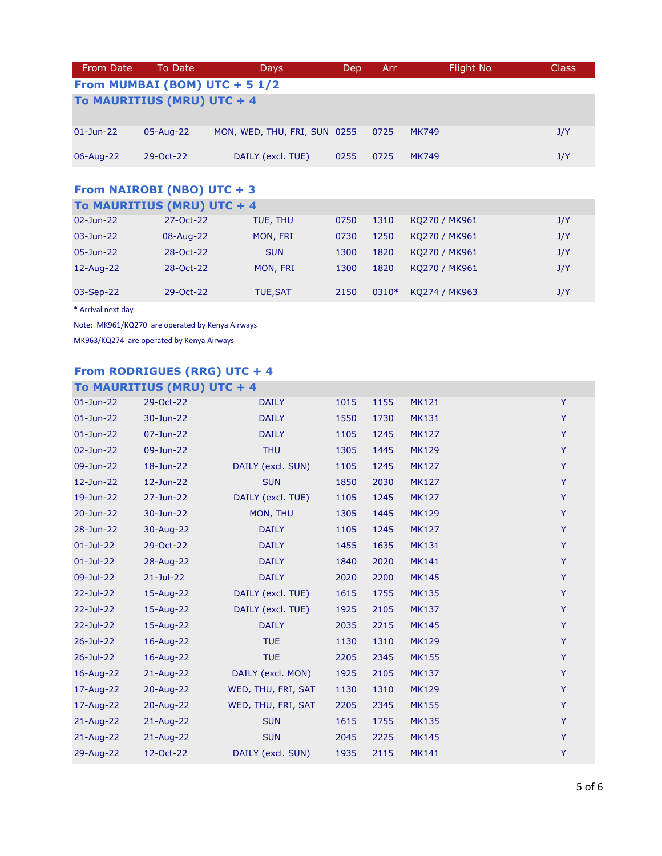| From Date                      | To Date     | <b>Days</b>                  | Dep  | Arr  | Flight No    | <b>Class</b> |  |  |
|--------------------------------|-------------|------------------------------|------|------|--------------|--------------|--|--|
| From MUMBAI (BOM) UTC + $51/2$ |             |                              |      |      |              |              |  |  |
| To MAURITIUS (MRU) UTC + 4     |             |                              |      |      |              |              |  |  |
| $01 - Jun - 22$                | 05-Aug-22   | MON, WED, THU, FRI, SUN 0255 |      | 0725 | <b>MK749</b> | J/Y          |  |  |
| 06-Aug-22                      | $29-Oct-22$ | DAILY (excl. TUE)            | 0255 | 0725 | <b>MK749</b> | J/Y          |  |  |

### From NAIROBI (NBO) UTC + 3

| To MAURITIUS (MRU) UTC + 4 |           |                 |      |         |               |     |  |  |
|----------------------------|-----------|-----------------|------|---------|---------------|-----|--|--|
| 02-Jun-22                  | 27-Oct-22 | TUE, THU        | 0750 | 1310    | KO270 / MK961 | J/Y |  |  |
| 03-Jun-22                  | 08-Aug-22 | MON, FRI        | 0730 | 1250    | KQ270 / MK961 | J/Y |  |  |
| $05 - Jun - 22$            | 28-Oct-22 | <b>SUN</b>      | 1300 | 1820    | KO270 / MK961 | J/Y |  |  |
| 12-Aug-22                  | 28-Oct-22 | MON, FRI        | 1300 | 1820    | KO270 / MK961 | J/Y |  |  |
| $03-Sep-22$                | 29-Oct-22 | <b>TUE, SAT</b> | 2150 | $0310*$ | KO274 / MK963 | J/Y |  |  |

\* Arrival next day

Note: MK961/KQ270 are operated by Kenya Airways

MK963/KQ274 are operated by Kenya Airways

# From RODRIGUES (RRG) UTC + 4

|                 | To MAURITIUS (MRU) UTC + 4 |                    |      |      |              |   |
|-----------------|----------------------------|--------------------|------|------|--------------|---|
| $01$ -Jun-22    | 29-Oct-22                  | <b>DAILY</b>       | 1015 | 1155 | <b>MK121</b> | Y |
| $01$ -Jun-22    | 30-Jun-22                  | <b>DAILY</b>       | 1550 | 1730 | <b>MK131</b> | Y |
| $01$ -Jun-22    | 07-Jun-22                  | <b>DAILY</b>       | 1105 | 1245 | <b>MK127</b> | Y |
| 02-Jun-22       | 09-Jun-22                  | <b>THU</b>         | 1305 | 1445 | <b>MK129</b> | Y |
| 09-Jun-22       | 18-Jun-22                  | DAILY (excl. SUN)  | 1105 | 1245 | <b>MK127</b> | Y |
| 12-Jun-22       | 12-Jun-22                  | <b>SUN</b>         | 1850 | 2030 | <b>MK127</b> | Y |
| 19-Jun-22       | 27-Jun-22                  | DAILY (excl. TUE)  | 1105 | 1245 | <b>MK127</b> | Y |
| 20-Jun-22       | 30-Jun-22                  | MON, THU           | 1305 | 1445 | <b>MK129</b> | Y |
| 28-Jun-22       | 30-Aug-22                  | <b>DAILY</b>       | 1105 | 1245 | <b>MK127</b> | Y |
| $01 - Jul - 22$ | 29-Oct-22                  | <b>DAILY</b>       | 1455 | 1635 | <b>MK131</b> | Y |
| $01$ -Jul-22    | 28-Aug-22                  | <b>DAILY</b>       | 1840 | 2020 | <b>MK141</b> | Y |
| 09-Jul-22       | $21 -$ Jul-22              | <b>DAILY</b>       | 2020 | 2200 | <b>MK145</b> | Y |
| 22-Jul-22       | 15-Aug-22                  | DAILY (excl. TUE)  | 1615 | 1755 | <b>MK135</b> | Y |
| 22-Jul-22       | 15-Aug-22                  | DAILY (excl. TUE)  | 1925 | 2105 | <b>MK137</b> | Y |
| 22-Jul-22       | 15-Aug-22                  | <b>DAILY</b>       | 2035 | 2215 | <b>MK145</b> | Y |
| 26-Jul-22       | 16-Aug-22                  | <b>TUE</b>         | 1130 | 1310 | <b>MK129</b> | Y |
| 26-Jul-22       | 16-Aug-22                  | <b>TUE</b>         | 2205 | 2345 | <b>MK155</b> | Y |
| 16-Aug-22       | 21-Aug-22                  | DAILY (excl. MON)  | 1925 | 2105 | <b>MK137</b> | Y |
| 17-Aug-22       | 20-Aug-22                  | WED, THU, FRI, SAT | 1130 | 1310 | <b>MK129</b> | Y |
| 17-Aug-22       | 20-Aug-22                  | WED, THU, FRI, SAT | 2205 | 2345 | <b>MK155</b> | Y |
| 21-Aug-22       | $21$ -Aug-22               | <b>SUN</b>         | 1615 | 1755 | <b>MK135</b> | Y |
| $21$ -Aug-22    | 21-Aug-22                  | <b>SUN</b>         | 2045 | 2225 | <b>MK145</b> | Y |
| 29-Aug-22       | 12-Oct-22                  | DAILY (excl. SUN)  | 1935 | 2115 | <b>MK141</b> | Y |